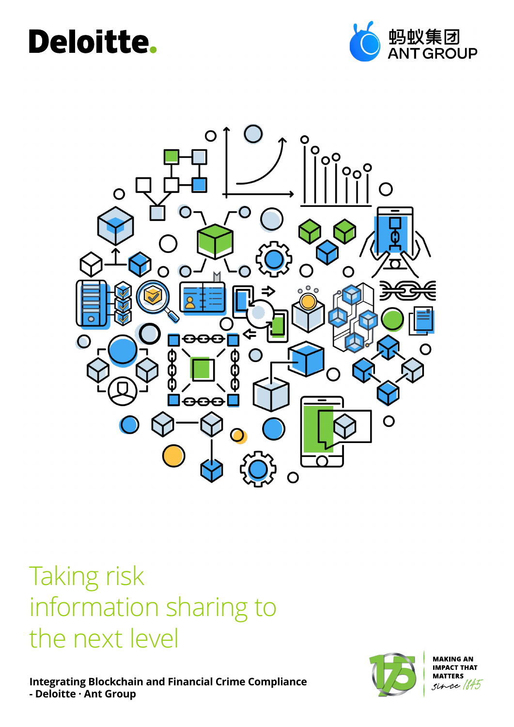## Deloitte.





### Taking risk information sharing to the next level

**Integrating Blockchain and Financial Crime Compliance - Deloitte · Ant Group**



**MAKING AN IMPACT THAT MATTERS** ce [b45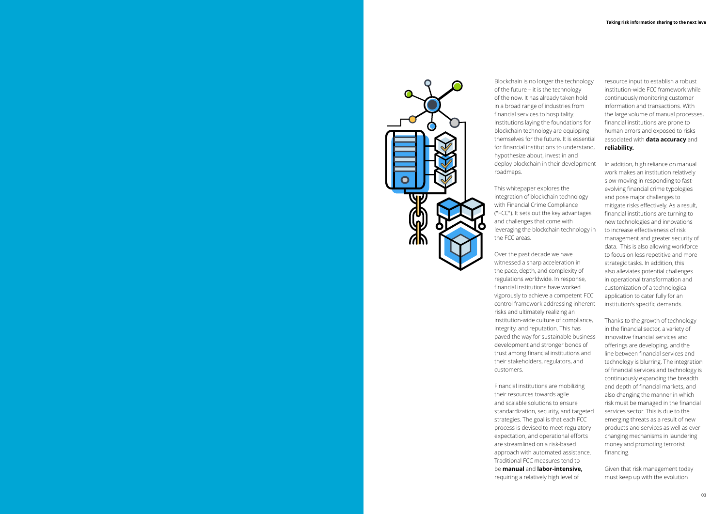

Blockchain is no longer the technology of the future – it is the technology of the now. It has already taken hold in a broad range of industries from financial services to hospitality. Institutions laying the foundations for blockchain technology are equipping themselves for the future. It is essential for financial institutions to understand, hypothesize about, invest in and deploy blockchain in their development roadmaps.

This whitepaper explores the integration of blockchain technology with Financial Crime Compliance ("FCC"). It sets out the key advantages and challenges that come with leveraging the blockchain technology in the FCC areas.

Over the past decade we have witnessed a sharp acceleration in the pace, depth, and complexity of regulations worldwide. In response, financial institutions have worked vigorously to achieve a competent FCC control framework addressing inherent risks and ultimately realizing an institution-wide culture of compliance, integrity, and reputation. This has paved the way for sustainable business development and stronger bonds of trust among financial institutions and their stakeholders, regulators, and customers.

Financial institutions are mobilizing their resources towards agile and scalable solutions to ensure standardization, security, and targeted strategies. The goal is that each FCC process is devised to meet regulatory expectation, and operational efforts are streamlined on a risk-based approach with automated assistance. Traditional FCC measures tend to be **manual** and **labor-intensive,** requiring a relatively high level of

resource input to establish a robust institution-wide FCC framework while continuously monitoring customer information and transactions. With the large volume of manual processes, financial institutions are prone to human errors and exposed to risks associated with **data accuracy** and **reliability.** 

In addition, high reliance on manual work makes an institution relatively slow-moving in responding to fastevolving financial crime typologies and pose major challenges to mitigate risks effectively. As a result, financial institutions are turning to new technologies and innovations to increase effectiveness of risk management and greater security of data. This is also allowing workforce to focus on less repetitive and more strategic tasks. In addition, this also alleviates potential challenges in operational transformation and customization of a technological application to cater fully for an institution's specific demands.

Thanks to the growth of technology in the financial sector, a variety of innovative financial services and offerings are developing, and the line between financial services and technology is blurring. The integration of financial services and technology is continuously expanding the breadth and depth of financial markets, and also changing the manner in which risk must be managed in the financial services sector. This is due to the emerging threats as a result of new products and services as well as everchanging mechanisms in laundering money and promoting terrorist financing.

Given that risk management today must keep up with the evolution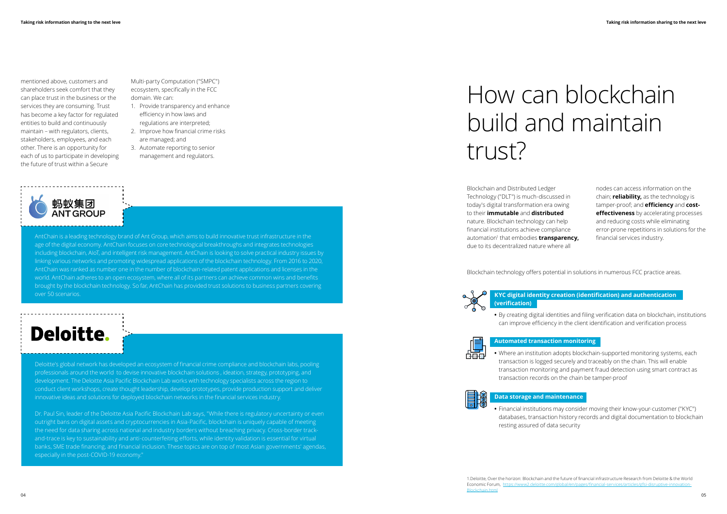mentioned above, customers and shareholders seek comfort that they can place trust in the business or the services they are consuming. Trust has become a key factor for regulated entities to build and continuously maintain – with regulators, clients, stakeholders, employees, and each other. There is an opportunity for each of us to participate in developing the future of trust within a Secure

> Blockchain and Distributed Ledger Technology ("DLT") is much-discussed in today's digital transformation era owing to their **immutable** and **distributed**  nature. Blockchain technology can help financial institutions achieve compliance automation<sup>1</sup> that embodies **transparency,** due to its decentralized nature where all

Blockchain technology offers potential in solutions in numerous FCC practice areas.



AntChain is a leading technology brand of Ant Group, which aims to build innovative trust infrastructure in the age of the digital economy. AntChain focuses on core technological breakthroughs and integrates technologies including blockchain, AIoT, and intelligent risk management. AntChain is looking to solve practical industry issues by linking various networks and promoting widespread applications of the blockchain technology. From 2016 to 2020, AntChain was ranked as number one in the number of blockchain-related patent applications and licenses in the world. AntChain adheres to an open ecosystem, where all of its partners can achieve common wins and benefits brought by the blockchain technology. So far, AntChain has provided trust solutions to business partners covering over 50 scenarios.

### **Deloitte.**

Deloitte's global network has developed an ecosystem of financial crime compliance and blockchain labs, pooling professionals around the world to devise innovative blockchain solutions , ideation, strategy, prototyping, and development. The Deloitte Asia Pacific Blockchain Lab works with technology specialists across the region to conduct client workshops, create thought leadership, develop prototypes, provide production support and deliver innovative ideas and solutions for deployed blockchain networks in the financial services industry.

Dr. Paul Sin, leader of the Deloitte Asia Pacific Blockchain Lab says, "While there is regulatory uncertainty or even outright bans on digital assets and cryptocurrencies in Asia-Pacific, blockchain is uniquely capable of meeting the need for data sharing across national and industry borders without breaching privacy. Cross-border trackand-trace is key to sustainability and anti-counterfeiting efforts, while identity validation is essential for virtual banks, SME trade financing, and financial inclusion. These topics are on top of most Asian governments' agendas, especially in the post-COVID-19 economy."

Multi-party Computation ("SMPC") ecosystem, specifically in the FCC domain. We can:

- 1. Provide transparency and enhance efficiency in how laws and regulations are interpreted;
- 2. Improve how financial crime risks are managed; and
- 3. Automate reporting to senior management and regulators.



# How can blockchain build and maintain trust?

### **KYC digital identity creation (identification) and authentication**

**(verification)** 



**•** By creating digital identities and filing verification data on blockchain, institutions can improve efficiency in the client identification and verification process

**Automated transaction monitoring** 

**•** Where an institution adopts blockchain-supported monitoring systems, each transaction is logged securely and traceably on the chain. This will enable transaction monitoring and payment fraud detection using smart contract as transaction records on the chain be tamper-proof



### **Data storage and maintenance**

**•** Financial institutions may consider moving their know-your-customer ("KYC") databases, transaction history records and digital documentation to blockchain

resting assured of data security

nodes can access information on the chain; **reliability,** as the technology is tamper-proof; and **efficiency** and **costeffectiveness** by accelerating processes and reducing costs while eliminating error-prone repetitions in solutions for the financial services industry.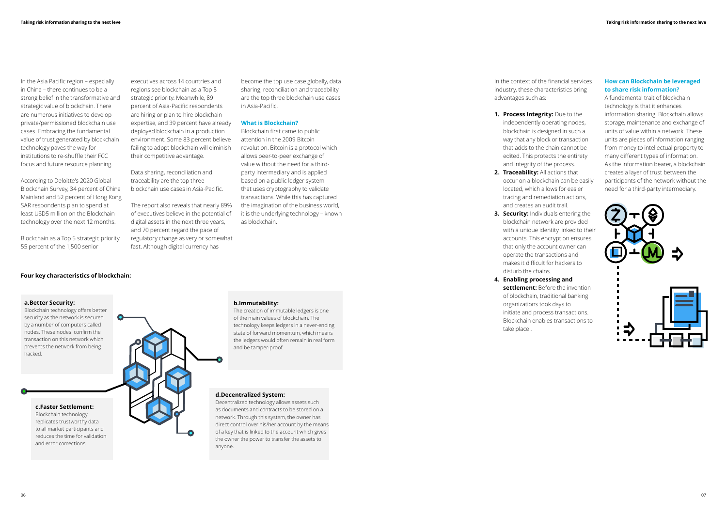In the Asia Pacific region – especially in China – there continues to be a strong belief in the transformative and strategic value of blockchain. There are numerous initiatives to develop private/permissioned blockchain use cases. Embracing the fundamental value of trust generated by blockchain technology paves the way for institutions to re-shuffle their FCC focus and future resource planning.

According to Deloitte's 2020 Global Blockchain Survey, 34 percent of China Mainland and 52 percent of Hong Kong SAR respondents plan to spend at least USD5 million on the Blockchain technology over the next 12 months.

Blockchain as a Top 5 strategic priority 55 percent of the 1,500 senior

In the context of the financial services

industry, these characteristics bring advantages such as:

### **1. Process Integrity:** Due to the

independently operating nodes, blockchain is designed in such a way that any block or transaction that adds to the chain cannot be edited. This protects the entirety and integrity of the process.

**3. Security:** Individuals entering the

- **2. Traceability:** All actions that occur on a blockchain can be easily located, which allows for easier tracing and remediation actions, and creates an audit trail.
- blockchain network are provided with a unique identity linked to their accounts. This encryption ensures that only the account owner can operate the transactions and makes it difficult for hackers to disturb the chains.
- **4. Enabling processing and settlement:** Before the invention of blockchain, traditional banking organizations took days to initiate and process transactions. Blockchain enables transactions to take place .

### **a.Better Security:**

Blockchain technology offers better security as the network is secured by a number of computers called nodes. These nodes confirm the transaction on this network which prevents the network from being hacked.

**c.Faster Settlement:** 

Blockchain technology replicates trustworthy data to all market participants and reduces the time for validation and error corrections.



**b.Immutability:** 

The creation of immutable ledgers is one of the main values of blockchain. The technology keeps ledgers in a never-ending state of forward momentum, which means the ledgers would often remain in real form

and be tamper-proof.

### **d.Decentralized System:**

Decentralized technology allows assets such as documents and contracts to be stored on a network. Through this system, the owner has direct control over his/her account by the means of a key that is linked to the account which gives the owner the power to transfer the assets to anyone.

### **Four key characteristics of blockchain:**

executives across 14 countries and regions see blockchain as a Top 5 strategic priority. Meanwhile, 89 percent of Asia-Pacific respondents are hiring or plan to hire blockchain expertise, and 39 percent have already deployed blockchain in a production environment. Some 83 percent believe failing to adopt blockchain will diminish

their competitive advantage.

Data sharing, reconciliation and traceability are the top three blockchain use cases in Asia-Pacific.

The report also reveals that nearly 89% of executives believe in the potential of digital assets in the next three years, and 70 percent regard the pace of regulatory change as very or somewhat fast. Although digital currency has

### **How can Blockchain be leveraged to share risk information?**

A fundamental trait of blockchain technology is that it enhances information sharing. Blockchain allows storage, maintenance and exchange of units of value within a network. These units are pieces of information ranging from money to intellectual property to many different types of information. As the information bearer, a blockchain creates a layer of trust between the participants of the network without the need for a third-party intermediary.



become the top use case globally, data sharing, reconciliation and traceability are the top three blockchain use cases in Asia-Pacific.

### **What is Blockchain?**

Blockchain first came to public attention in the 2009 Bitcoin revolution. Bitcoin is a protocol which allows peer-to-peer exchange of value without the need for a thirdparty intermediary and is applied based on a public ledger system that uses cryptography to validate transactions. While this has captured the imagination of the business world, it is the underlying technology – known as blockchain.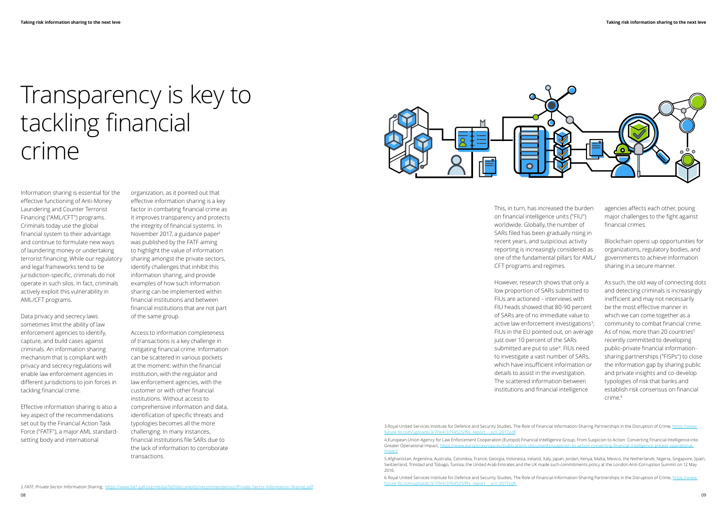Information sharing is essential for the effective functioning of Anti-Money Laundering and Counter Terrorist Financing ("AML/CFT") programs. Criminals today use the global financial system to their advantage and continue to formulate new ways of laundering money or undertaking terrorist financing. While our regulatory and legal frameworks tend to be jurisdiction-specific, criminals do not operate in such silos. In fact, criminals actively exploit this vulnerability in AML/CFT programs.

Data privacy and secrecy laws sometimes limit the ability of law enforcement agencies to identify, capture, and build cases against criminals. An information sharing mechanism that is compliant with privacy and secrecy regulations will enable law enforcement agencies in different jurisdictions to join forces in tackling financial crime.

Effective information sharing is also a key aspect of the recommendations set out by the Financial Action Task Force ("FATF"), a major AML standardsetting body and international

# Transparency is key to tackling financial crime

organization, as it pointed out that effective information sharing is a key factor in combating financial crime as it improves transparency and protects the integrity of financial systems. In November 2017, a guidance paper<sup>2</sup> was published by the FATF aiming to highlight the value of information sharing amongst the private sectors, identify challenges that inhibit this information sharing, and provide examples of how such information sharing can be implemented within financial institutions and between financial institutions that are not part of the same group.

Access to information completeness of transactions is a key challenge in mitigating financial crime. Information can be scattered in various pockets at the moment: within the financial institution, with the regulator and law enforcement agencies, with the customer or with other financial institutions. Without access to comprehensive information and data, identification of specific threats and typologies becomes all the more challenging. In many instances, financial institutions file SARs due to the lack of information to corroborate transactions.



This, in turn, has increased the burden on financial intelligence units ("FIU") worldwide. Globally, the number of SARs filed has been gradually rising in recent years, and suspicious activity reporting is increasingly considered as one of the fundamental pillars for AML/ CFT programs and regimes.

However, research shows that only a low proportion of SARs submitted to FIUs are actioned – interviews with FIU heads showed that 80-90 percent of SARs are of no immediate value to active law enforcement investigations<sup>3</sup>; FIUs in the EU pointed out, on average just over 10 percent of the SARs submitted are put to use<sup>4</sup>. FIUs need to investigate a vast number of SARs, which have insufficient information or details to assist in the investigation. The scattered information between institutions and financial intelligence

3.Royal United Services Institute for Defence and Security Studies, The Role of Financial Information-Sharing Partnerships in the Disruption of Crime, [https://www.](https://www.future-fis.com/uploads/3/7/9/4/3794525/ffis_report_-_oct_2017.pdf
) [future-fis.com/uploads/3/7/9/4/3794525/ffis\\_report\\_-\\_oct\\_2017.pdf](https://www.future-fis.com/uploads/3/7/9/4/3794525/ffis_report_-_oct_2017.pdf
)

4.European Union Agency for Law Enforcement Cooperation (Europol) Financial Intelligence Group, From Suspicion to Action: Converting Financial Intelligence into Greater Operational Impact, https://www.europol.europa.europa.europa.europa.europa.europa.europa.eu [impact](https://www.europol.europa.eu/publications-documents/suspicion-to-action-converting-financial-intelligence-greater-operational-impact)

5.Afghanistan, Argentina, Australia, Colombia, France, Georgia, Indonesia, Ireland, Italy, Japan, Jordan, Kenya, Malta, Mexico, the Netherlands, Nigeria, Singapore, Spain, Switzerland, Trinidad and Tobago, Tunisia, the United Arab Emirates and the UK made such commitments policy at the London Anti-Corruption Summit on 12 May 2016.

6.Royal United Services Institute for Defence and Security Studies, The Role of Financial Information-Sharing Partnerships in the Disruption of Crime, [https://www.](https://www.future-fis.com/uploads/3/7/9/4/3794525/ffis_report_-_oct_2017.pdf.
)

agencies affects each other, posing major challenges to the fight against financial crimes.

Blockchain opens up opportunities for organizations, regulatory bodies, and governments to achieve information sharing in a secure manner.

As such, the old way of connecting dots and detecting criminals is increasingly inefficient and may not necessarily be the most effective manner in which we can come together as a community to combat financial crime. As of now, more than 20 countries<sup>5</sup> recently committed to developing public–private financial informationsharing partnerships ("FISPs") to close the information gap by sharing public and private insights and co-develop typologies of risk that banks and establish risk consensus on financial crime.6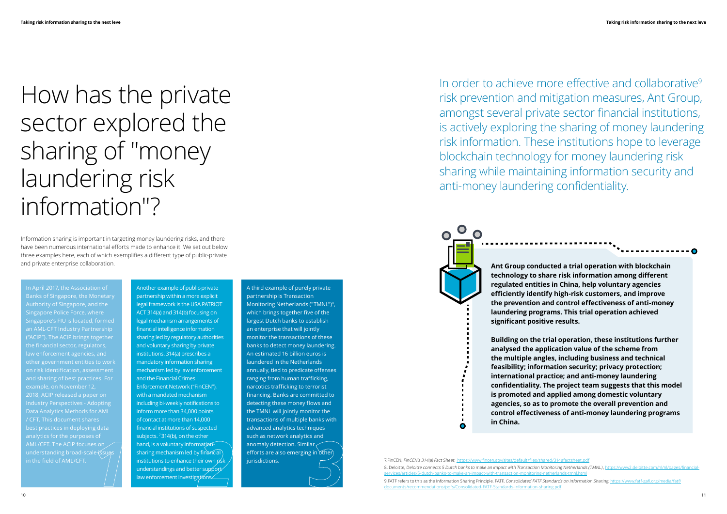Information sharing is important in targeting money laundering risks, and there have been numerous international efforts made to enhance it. We set out below three examples here, each of which exemplifies a different type of public-private and private enterprise collaboration.

# How has the private sector explored the sharing of "money laundering risk information"?

Another example of public-private partnership within a more explicit legal framework is the USA PATRIOT ACT 314(a) and 314(b) focusing on legal mechanism arrangements of financial intelligence information sharing led by regulatory authorities and voluntary sharing by private institutions. 314(a) prescribes a mandatory information sharing mechanism led by law enforcement and the Financial Crimes Enforcement Network ("FinCEN"), with a mandated mechanism including bi-weekly notifications to inform more than 34,000 points of contact at more than 14,000 financial institutions of suspected subjects. 7 314(b), on the other hand, is a voluntary informationsharing mechanism led by  $f$ inancial institutions to enhance their own risk understandings and better support law enforcement investigations

In April 2017, the Association of Banks of Singapore, the Monetary Authority of Singapore, and the Singapore Police Force, where Singapore's FIU is located, formed ("ACIP"). The ACIP brings together the financial sector, regulators, law enforcement agencies, and other government entities to work and sharing of best practices. For 2018, ACIP released a paper on / CFT. This document shares best practices in deploying data analytics for the purposes of understanding broad-scale issue in the field of AML/CFT.

A third example of purely private partnership is Transaction Monitoring Netherlands ("TMNL")<sup>8</sup>, which brings together five of the largest Dutch banks to establish an enterprise that will jointly monitor the transactions of these banks to detect money laundering. An estimated 16 billion euros is laundered in the Netherlands annually, tied to predicate offenses ranging from human trafficking, narcotics trafficking to terrorist financing. Banks are committed to detecting these money flows and the TMNL will jointly monitor the transactions of multiple banks with advanced analytics techniques such as network analytics and anomaly detection. Similar efforts are also emerging in other

In order to achieve more effective and collaborative<sup>9</sup> risk prevention and mitigation measures, Ant Group, amongst several private sector financial institutions, is actively exploring the sharing of money laundering risk information. These institutions hope to leverage blockchain technology for money laundering risk sharing while maintaining information security and anti-money laundering confidentiality.

> **Ant Group conducted a trial operation with blockchain technology to share risk information among different regulated entities in China, help voluntary agencies efficiently identify high-risk customers, and improve the prevention and control effectiveness of anti-money laundering programs. This trial operation achieved**



jurisdictions. 7.FinCEN, FinCEN's 314(a) Fact Sheet, https://www.fincen.gov/sites/default/files/shared/314afactsh 8. Deloitte, Deloitte connects 5 Dutch banks to make an impact with Transaction Monitoring Netherlands (TMNL), https://www2.del [services/articles/5-dutch-banks-to-make-an-impact-with-transaction-monitoring-netherlands-tmnl.html](https://www2.deloitte.com/nl/nl/pages/financial-services/articles/5-dutch-banks-to-make-an-impact-with-transaction-monitoring-netherlands-tmnl.html
) anomaly detection. Similar anomaly detection. Similar and, is a voluntary information-<br>
anomaly detection. Similar and the state of the state of the state of the state of the state of the state of<br>
institutions to enhance

**Building on the trial operation, these institutions further analysed the application value of the scheme from the multiple angles, including business and technical feasibility; information security; privacy protection; international practice; and anti-money laundering confidentiality. The project team suggests that this model is promoted and applied among domestic voluntary agencies, so as to promote the overall prevention and control effectiveness of anti-money laundering programs**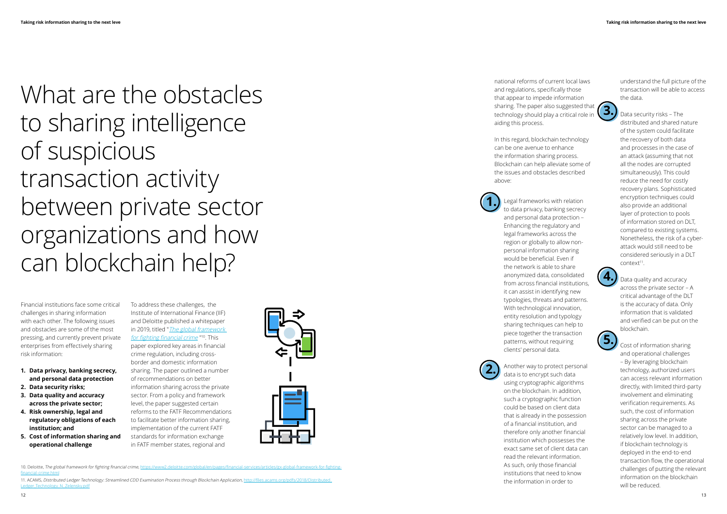Financial institutions face some critical challenges in sharing information with each other. The following issues and obstacles are some of the most pressing, and currently prevent private enterprises from effectively sharing risk information:

What are the obstacles to sharing intelligence of suspicious transaction activity between private sector organizations and how can blockchain help?

- **1. Data privacy, banking secrecy, and personal data protection**
- **2. Data security risks;**
- **3. Data quality and accuracy across the private sector;**
- **4. Risk ownership, legal and regulatory obligations of each institution; and**
- **5. Cost of information sharing and operational challenge**

To address these challenges, the Institute of International Finance (IIF) and Deloitte published a whitepaper in 2019, titled "[The global framework](  https://www2.deloitte.com/global/en/pages/financial-services/articles/gx-global-framework-for-fighting-financial-crime.html)  [for fighting financial crime](  https://www2.deloitte.com/global/en/pages/financial-services/articles/gx-global-framework-for-fighting-financial-crime.html) "10. This paper explored key areas in financial crime regulation, including crossborder and domestic information sharing. The paper outlined a number of recommendations on better information sharing across the private sector. From a policy and framework level, the paper suggested certain reforms to the FATF Recommendations to facilitate better information sharing, implementation of the current FATF standards for information exchange



in FATF member states, regional and

Data security risks – The distributed and shared nature of the system could facilitate the recovery of both data and processes in the case of an attack (assuming that not all the nodes are corrupted simultaneously). This could reduce the need for costly recovery plans. Sophisticated encryption techniques could also provide an additional layer of protection to pools of information stored on DLT, compared to existing systems. Nonetheless, the risk of a cyberattack would still need to be considered seriously in a DLT context<sup>11</sup>.

national reforms of current local laws and regulations, specifically those that appear to impede information sharing. The paper also suggested that technology should play a critical role in aiding this process.

In this regard, blockchain technology can be one avenue to enhance the information sharing process. Blockchain can help alleviate some of the issues and obstacles described above:

Legal frameworks with relation

to data privacy, banking secrecy and personal data protection – Enhancing the regulatory and legal frameworks across the region or globally to allow nonpersonal information sharing would be beneficial. Even if the network is able to share anonymized data, consolidated from across financial institutions, it can assist in identifying new typologies, threats and patterns. With technological innovation, entity resolution and typology sharing techniques can help to piece together the transaction patterns, without requiring clients' personal data.

11. ACAMS, Distributed Ledger Technology: Streamlined CDD Examination Process through Blockchain Application, http://files.acams.org/pdfs/2018/Distril [Ledger\\_Technology\\_N\\_Zelensky.pdf](http://files.acams.org/pdfs/2018/Distributed_Ledger_Technology_N_Zelensky.pdf)

Another way to protect personal data is to encrypt such data using cryptographic algorithms on the blockchain. In addition, such a cryptographic function could be based on client data that is already in the possession of a financial institution, and therefore only another financial institution which possesses the exact same set of client data can read the relevant information. As such, only those financial institutions that need to know the information in order to

understand the full picture of the transaction will be able to access the data.



Cost of information sharing and operational challenges – By leveraging blockchain technology, authorized users can access relevant information directly, with limited third-party involvement and eliminating verification requirements. As such, the cost of information sharing across the private sector can be managed to a relatively low level. In addition, if blockchain technology is deployed in the end-to-end transaction flow, the operational challenges of putting the relevant information on the blockchain will be reduced.



**2.**



**4.**

**5.**

10. Deloitte, The global framework for fighting financial crime, [https://www2.deloitte.com/global/en/pages/financial-services/articles/gx-global-framework-for-fighting](https://www2.deloitte.com/global/en/pages/financial-services/articles/gx-global-framework-for-fighting-financial-crime.html)[financial-crime.html](https://www2.deloitte.com/global/en/pages/financial-services/articles/gx-global-framework-for-fighting-financial-crime.html)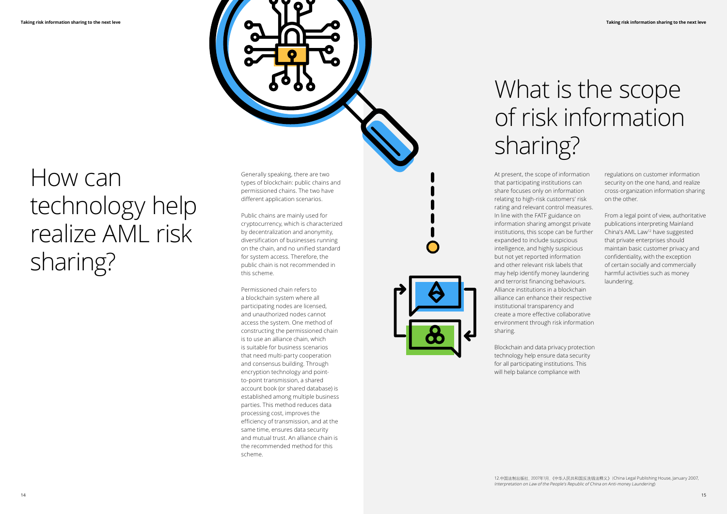

# How can technology help realize AML risk sharing?

## What is the scope of risk information sharing?

At present, the scope of information that participating institutions can share focuses only on information relating to high-risk customers' risk rating and relevant control measures. In line with the FATF guidance on information sharing amongst private institutions, this scope can be further expanded to include suspicious intelligence, and highly suspicious but not yet reported information and other relevant risk labels that may help identify money laundering and terrorist financing behaviours. Alliance institutions in a blockchain alliance can enhance their respective institutional transparency and create a more effective collaborative environment through risk information sharing.

Blockchain and data privacy protection technology help ensure data security for all participating institutions. This will help balance compliance with

Generally speaking, there are two types of blockchain: public chains and permissioned chains. The two have different application scenarios.

Public chains are mainly used for cryptocurrency, which is characterized by decentralization and anonymity, diversification of businesses running on the chain, and no unified standard for system access. Therefore, the public chain is not recommended in this scheme.

Permissioned chain refers to a blockchain system where all participating nodes are licensed, and unauthorized nodes cannot access the system. One method of constructing the permissioned chain is to use an alliance chain, which is suitable for business scenarios that need multi-party cooperation and consensus building. Through encryption technology and pointto-point transmission, a shared account book (or shared database) is established among multiple business parties. This method reduces data processing cost, improves the efficiency of transmission, and at the same time, ensures data security and mutual trust. An alliance chain is the recommended method for this scheme.

regulations on customer information security on the one hand, and realize cross-organization information sharing on the other.

From a legal point of view, authoritative publications interpreting Mainland China's AML Law12 have suggested that private enterprises should maintain basic customer privacy and confidentiality, with the exception of certain socially and commercially harmful activities such as money laundering.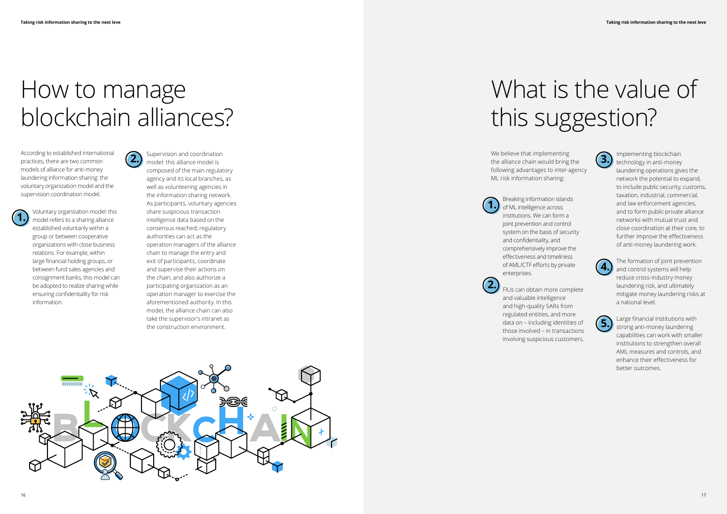# What is the value of this suggestion?

## How to manage blockchain alliances?

According to established international practices, there are two common models of alliance for anti-money laundering information sharing: the voluntary organization model and the supervision coordination model.

We believe that implementing the alliance chain would bring the following advantages to inter-agency ML risk information sharing:

Supervision and coordination model: this alliance model is composed of the main regulatory agency and its local branches, as well as volunteering agencies in the information sharing network. As participants, voluntary agencies share suspicious transaction intelligence data based on the consensus reached; regulatory authorities can act as the operation managers of the alliance chain to manage the entry and exit of participants, coordinate and supervise their actions on the chain, and also authorize a participating organization as an operation manager to exercise the aforementioned authority. In this model, the alliance chain can also take the supervisor's intranet as the construction environment. **2.** Supervision and coordination is a controlled blockchain the alliance chain would bring the **19.** Implementing blockchain the alliance chain would bring the **19.** Implementing blockchain the alliance chain would bring



Voluntary organization model: this model refers to a sharing alliance established voluntarily within a group or between cooperative organizations with close business relations. For example, within large financial holding groups, or between fund sales agencies and consignment banks, this model can be adopted to realize sharing while ensuring confidentiality for risk information.

Breaking information islands of ML intelligence across institutions. We can form a joint prevention and control system on the basis of security and confidentiality, and comprehensively improve the effectiveness and timeliness of AML/CTF efforts by private enterprises.

FIUs can obtain more complete

and valuable intelligence and high-quality SARs from regulated entities, and more data on – including identities of those involved – in transactions involving suspicious customers.





**2.**







technology in anti-money laundering operations gives the network the potential to expand, to include public security, customs, taxation, industrial, commercial, and law enforcement agencies, and to form public-private alliance networks with mutual trust and close coordination at their core, to further improve the effectiveness of anti-money laundering work.

The formation of joint prevention and control systems will help reduce cross-industry money laundering risk, and ultimately mitigate money laundering risks at a national level.

Large financial institutions with strong anti-money laundering capabilities can work with smaller institutions to strengthen overall AML measures and controls, and enhance their effectiveness for better outcomes.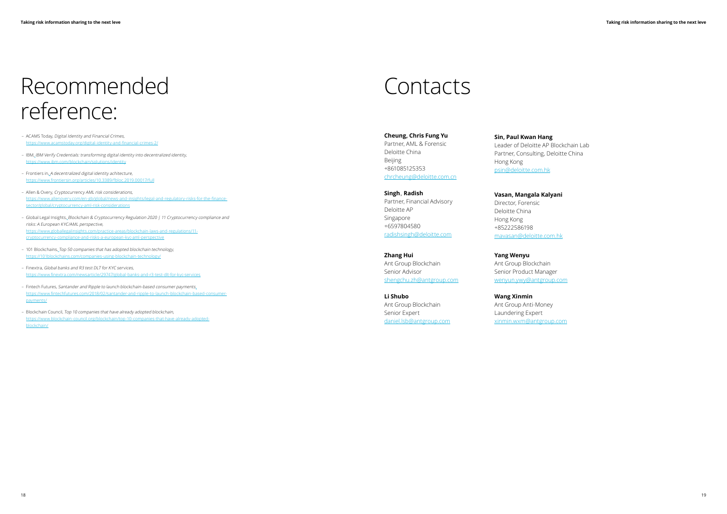## Recommended reference:

- ACAMS Today, Digital Identity and Financial Crimes, <https://www.acamstoday.org/digital-identity-and-financial-crimes-2/>
- IBM, IBM Verify Credentials: transforming digital identity into decentralized identity, https://www.jbm.com/blockchain/solutions/identity
- Frontiers in, A decentralized digital identity achitecture, https://www.frontiersin.org/articles/10.3389/fbloc.2019.00017/full
- Allen & Overy, Cryptocurrency AML risk considerations, https://www.allenovery.com/en-gb/global/news-and-insights/legal-and-regulatory-risks-for-the-financesector/global/cryptocurrency-aml-risk-considerations
- Global Legal Insights, Blockchain & Cryptocurrency Regulation 2020 | 11 Cryptocurrency compliance and risks: A European KYC/AML perspective, https://www.globallegalinsights.com/practice-areas/blockchain-laws-and-regulations/11 cryptocurrency-compliance-and-risks-a-european-kyc-aml-perspective
- 101 Blockchains, Top 50 companies that has adopted blockchain technology, https://101blockchains.com/companies-using-blockchain-technology/
- Finextra, Global banks and R3 test DLT for KYC services, https://www.finextra.com/newsarticle/29747/global-banks-and-r3-test-dlt-for-kyc-services
- Fintech Futures, Santander and Ripple to launch blockchain-based consumer payments, https://www.fintechfutures.com/2018/02/santander-and-ripple-to-launch-blockchain-based-consumerpayments/
- Blockchain Council, Top 10 companies that have already adopted blockchain, https://www.blockchain-council.org/blockchain/top-10-companies-that-have-already-adoptedblockchain/

### Contacts

### **Cheung, Chris Fung Yu**

Partner, AML & Forensic Deloitte China Beijing +861085125353 [chrcheung@deloitte.com.cn](mailto:chrcheung%40deloitte.com.cn?subject=)

**Singh**,**Radish** Partner, Financial Advisory Deloitte AP Singapore +6597804580 [radishsingh@deloitte.com](mailto:radishsingh%40deloitte.com?subject=)

**Sin, Paul Kwan Hang** Leader of Deloitte AP Blockchain Lab Partner, Consulting, Deloitte China Hong Kong [psin@deloitte.com.hk](mailto:psin%40deloitte.com.hk?subject=)

**Vasan, Mangala Kalyani**

Director, Forensic Deloitte China Hong Kong +85222586198 [mavasan@deloitte.com.hk](mailto:mavasan%40deloitte.com.hk?subject=)

**Zhang Hui** Ant Group Blockchain Senior Advisor [shengchu.zh@antgroup.com](mailto:shengchu.zh%40antgroup.com?subject=)

**Li Shubo** Ant Group Blockchain Senior Expert [daniel.lsb@antgroup.com](mailto:daniel.lsb%40antgroup.com?subject=) **Yang Wenyu** Ant Group Blockchain Senior Product Manager [wenyun.ywy@antgroup.com](mailto:wenyun.ywy%40antgroup.com?subject=)

> **Wang Xinmin** Ant Group Anti-Money Laundering Expert [xinmin.wxm@antgroup.com](mailto:xinmin.wxm%40antgroup.com?subject=)